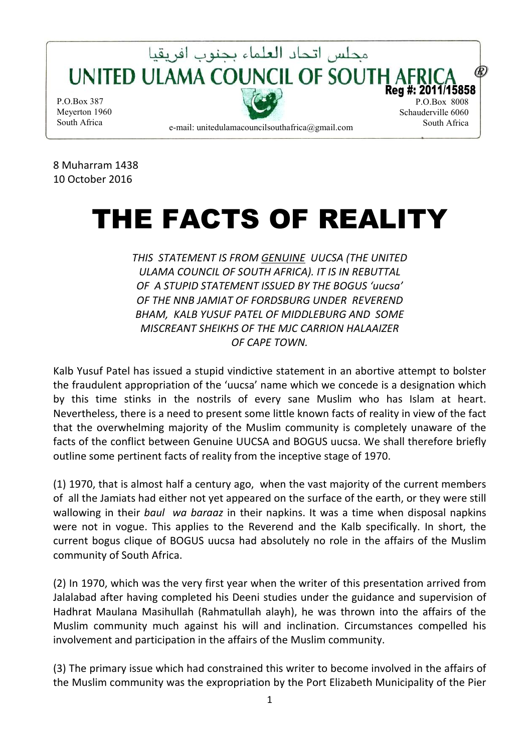

8 Muharram 1438 10 October 2016

# THE FACTS OF REALITY

*THIS STATEMENT IS FROM GENUINE UUCSA (THE UNITED ULAMA COUNCIL OF SOUTH AFRICA). IT IS IN REBUTTAL OF A STUPID STATEMENT ISSUED BY THE BOGUS 'uucsa' OF THE NNB JAMIAT OF FORDSBURG UNDER REVEREND BHAM, KALB YUSUF PATEL OF MIDDLEBURG AND SOME MISCREANT SHEIKHS OF THE MJC CARRION HALAAIZER OF CAPE TOWN.* 

Kalb Yusuf Patel has issued a stupid vindictive statement in an abortive attempt to bolster the fraudulent appropriation of the 'uucsa' name which we concede is a designation which by this time stinks in the nostrils of every sane Muslim who has Islam at heart. Nevertheless, there is a need to present some little known facts of reality in view of the fact that the overwhelming majority of the Muslim community is completely unaware of the facts of the conflict between Genuine UUCSA and BOGUS uucsa. We shall therefore briefly outline some pertinent facts of reality from the inceptive stage of 1970.

(1) 1970, that is almost half a century ago, when the vast majority of the current members of all the Jamiats had either not yet appeared on the surface of the earth, or they were still wallowing in their *baul wa baraaz* in their napkins. It was a time when disposal napkins were not in vogue. This applies to the Reverend and the Kalb specifically. In short, the current bogus clique of BOGUS uucsa had absolutely no role in the affairs of the Muslim community of South Africa.

(2) In 1970, which was the very first year when the writer of this presentation arrived from Jalalabad after having completed his Deeni studies under the guidance and supervision of Hadhrat Maulana Masihullah (Rahmatullah alayh), he was thrown into the affairs of the Muslim community much against his will and inclination. Circumstances compelled his involvement and participation in the affairs of the Muslim community.

(3) The primary issue which had constrained this writer to become involved in the affairs of the Muslim community was the expropriation by the Port Elizabeth Municipality of the Pier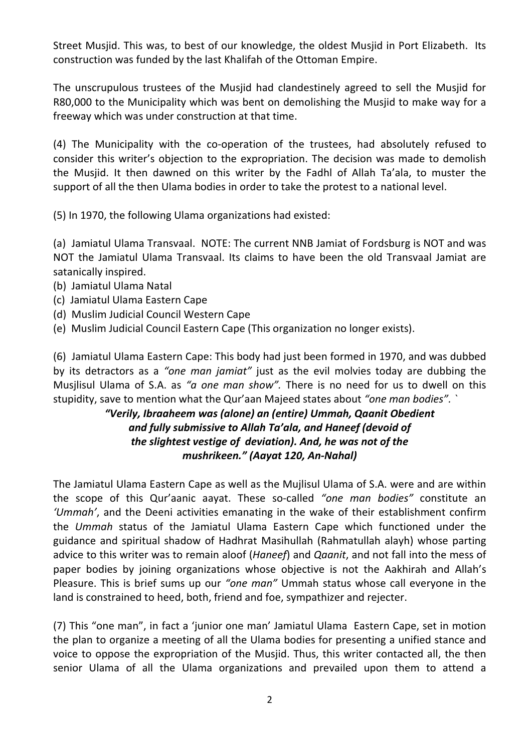Street Musjid. This was, to best of our knowledge, the oldest Musjid in Port Elizabeth. Its construction was funded by the last Khalifah of the Ottoman Empire.

The unscrupulous trustees of the Musjid had clandestinely agreed to sell the Musjid for R80,000 to the Municipality which was bent on demolishing the Musjid to make way for a freeway which was under construction at that time.

(4) The Municipality with the co-operation of the trustees, had absolutely refused to consider this writer's objection to the expropriation. The decision was made to demolish the Musjid. It then dawned on this writer by the Fadhl of Allah Ta'ala, to muster the support of all the then Ulama bodies in order to take the protest to a national level.

(5) In 1970, the following Ulama organizations had existed:

(a) Jamiatul Ulama Transvaal. NOTE: The current NNB Jamiat of Fordsburg is NOT and was NOT the Jamiatul Ulama Transvaal. Its claims to have been the old Transvaal Jamiat are satanically inspired.

- (b) Jamiatul Ulama Natal
- (c) Jamiatul Ulama Eastern Cape
- (d) Muslim Judicial Council Western Cape
- (e) Muslim Judicial Council Eastern Cape (This organization no longer exists).

(6) Jamiatul Ulama Eastern Cape: This body had just been formed in 1970, and was dubbed by its detractors as a *"one man jamiat"* just as the evil molvies today are dubbing the Musjlisul Ulama of S.A. as *"a one man show".* There is no need for us to dwell on this stupidity, save to mention what the Qur'aan Majeed states about *"one man bodies". `* 

# *"Verily, Ibraaheem was (alone) an (entire) Ummah, Qaanit Obedient and fully submissive to Allah Ta'ala, and Haneef (devoid of the slightest vestige of deviation). And, he was not of the mushrikeen." (Aayat 120, An-Nahal)*

The Jamiatul Ulama Eastern Cape as well as the Mujlisul Ulama of S.A. were and are within the scope of this Qur'aanic aayat. These so-called *"one man bodies"* constitute an *'Ummah'*, and the Deeni activities emanating in the wake of their establishment confirm the *Ummah* status of the Jamiatul Ulama Eastern Cape which functioned under the guidance and spiritual shadow of Hadhrat Masihullah (Rahmatullah alayh) whose parting advice to this writer was to remain aloof (*Haneef*) and *Qaanit*, and not fall into the mess of paper bodies by joining organizations whose objective is not the Aakhirah and Allah's Pleasure. This is brief sums up our *"one man"* Ummah status whose call everyone in the land is constrained to heed, both, friend and foe, sympathizer and rejecter.

(7) This "one man", in fact a 'junior one man' Jamiatul Ulama Eastern Cape, set in motion the plan to organize a meeting of all the Ulama bodies for presenting a unified stance and voice to oppose the expropriation of the Musjid. Thus, this writer contacted all, the then senior Ulama of all the Ulama organizations and prevailed upon them to attend a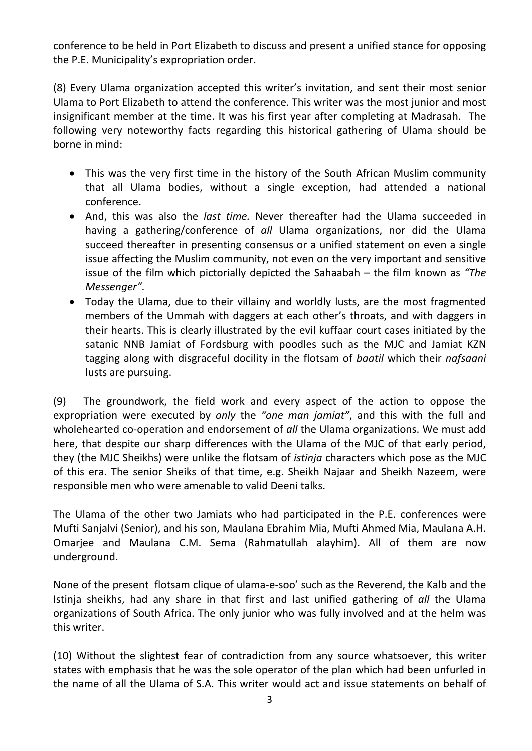conference to be held in Port Elizabeth to discuss and present a unified stance for opposing the P.E. Municipality's expropriation order.

(8) Every Ulama organization accepted this writer's invitation, and sent their most senior Ulama to Port Elizabeth to attend the conference. This writer was the most junior and most insignificant member at the time. It was his first year after completing at Madrasah. The following very noteworthy facts regarding this historical gathering of Ulama should be borne in mind:

- This was the very first time in the history of the South African Muslim community that all Ulama bodies, without a single exception, had attended a national conference.
- And, this was also the *last time.* Never thereafter had the Ulama succeeded in having a gathering/conference of *all* Ulama organizations, nor did the Ulama succeed thereafter in presenting consensus or a unified statement on even a single issue affecting the Muslim community, not even on the very important and sensitive issue of the film which pictorially depicted the Sahaabah – the film known as *"The Messenger"*.
- Today the Ulama, due to their villainy and worldly lusts, are the most fragmented members of the Ummah with daggers at each other's throats, and with daggers in their hearts. This is clearly illustrated by the evil kuffaar court cases initiated by the satanic NNB Jamiat of Fordsburg with poodles such as the MJC and Jamiat KZN tagging along with disgraceful docility in the flotsam of *baatil* which their *nafsaani* lusts are pursuing.

(9) The groundwork, the field work and every aspect of the action to oppose the expropriation were executed by *only* the *"one man jamiat"*, and this with the full and wholehearted co-operation and endorsement of *all* the Ulama organizations. We must add here, that despite our sharp differences with the Ulama of the MJC of that early period, they (the MJC Sheikhs) were unlike the flotsam of *istinja* characters which pose as the MJC of this era. The senior Sheiks of that time, e.g. Sheikh Najaar and Sheikh Nazeem, were responsible men who were amenable to valid Deeni talks.

The Ulama of the other two Jamiats who had participated in the P.E. conferences were Mufti Sanjalvi (Senior), and his son, Maulana Ebrahim Mia, Mufti Ahmed Mia, Maulana A.H. Omarjee and Maulana C.M. Sema (Rahmatullah alayhim). All of them are now underground.

None of the present flotsam clique of ulama-e-soo' such as the Reverend, the Kalb and the Istinja sheikhs, had any share in that first and last unified gathering of *all* the Ulama organizations of South Africa. The only junior who was fully involved and at the helm was this writer.

(10) Without the slightest fear of contradiction from any source whatsoever, this writer states with emphasis that he was the sole operator of the plan which had been unfurled in the name of all the Ulama of S.A. This writer would act and issue statements on behalf of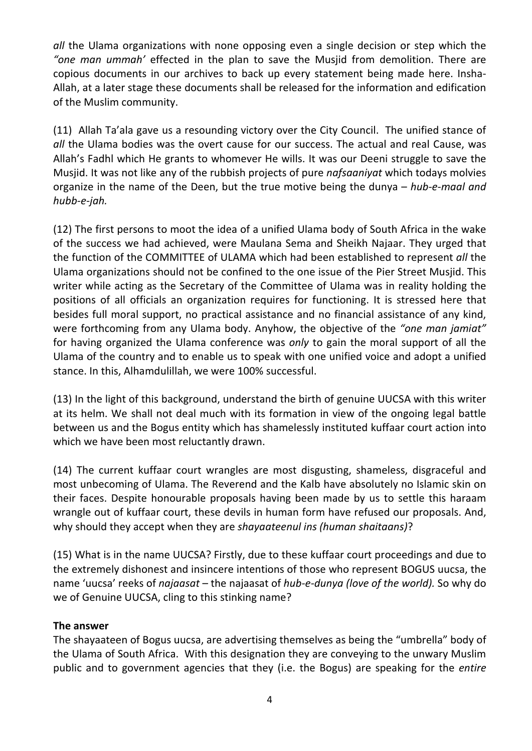*all* the Ulama organizations with none opposing even a single decision or step which the *"one man ummah'* effected in the plan to save the Musjid from demolition. There are copious documents in our archives to back up every statement being made here. Insha-Allah, at a later stage these documents shall be released for the information and edification of the Muslim community.

(11) Allah Ta'ala gave us a resounding victory over the City Council. The unified stance of *all* the Ulama bodies was the overt cause for our success. The actual and real Cause, was Allah's Fadhl which He grants to whomever He wills. It was our Deeni struggle to save the Musjid. It was not like any of the rubbish projects of pure *nafsaaniyat* which todays molvies organize in the name of the Deen, but the true motive being the dunya – *hub-e-maal and hubb-e-jah.* 

(12) The first persons to moot the idea of a unified Ulama body of South Africa in the wake of the success we had achieved, were Maulana Sema and Sheikh Najaar. They urged that the function of the COMMITTEE of ULAMA which had been established to represent *all* the Ulama organizations should not be confined to the one issue of the Pier Street Musjid. This writer while acting as the Secretary of the Committee of Ulama was in reality holding the positions of all officials an organization requires for functioning. It is stressed here that besides full moral support, no practical assistance and no financial assistance of any kind, were forthcoming from any Ulama body. Anyhow, the objective of the *"one man jamiat"*  for having organized the Ulama conference was *only* to gain the moral support of all the Ulama of the country and to enable us to speak with one unified voice and adopt a unified stance. In this, Alhamdulillah, we were 100% successful.

(13) In the light of this background, understand the birth of genuine UUCSA with this writer at its helm. We shall not deal much with its formation in view of the ongoing legal battle between us and the Bogus entity which has shamelessly instituted kuffaar court action into which we have been most reluctantly drawn.

(14) The current kuffaar court wrangles are most disgusting, shameless, disgraceful and most unbecoming of Ulama. The Reverend and the Kalb have absolutely no Islamic skin on their faces. Despite honourable proposals having been made by us to settle this haraam wrangle out of kuffaar court, these devils in human form have refused our proposals. And, why should they accept when they are *shayaateenul ins (human shaitaans)*?

(15) What is in the name UUCSA? Firstly, due to these kuffaar court proceedings and due to the extremely dishonest and insincere intentions of those who represent BOGUS uucsa, the name 'uucsa' reeks of *najaasat* – the najaasat of *hub-e-dunya (love of the world).* So why do we of Genuine UUCSA, cling to this stinking name?

#### **The answer**

The shayaateen of Bogus uucsa, are advertising themselves as being the "umbrella" body of the Ulama of South Africa. With this designation they are conveying to the unwary Muslim public and to government agencies that they (i.e. the Bogus) are speaking for the *entire*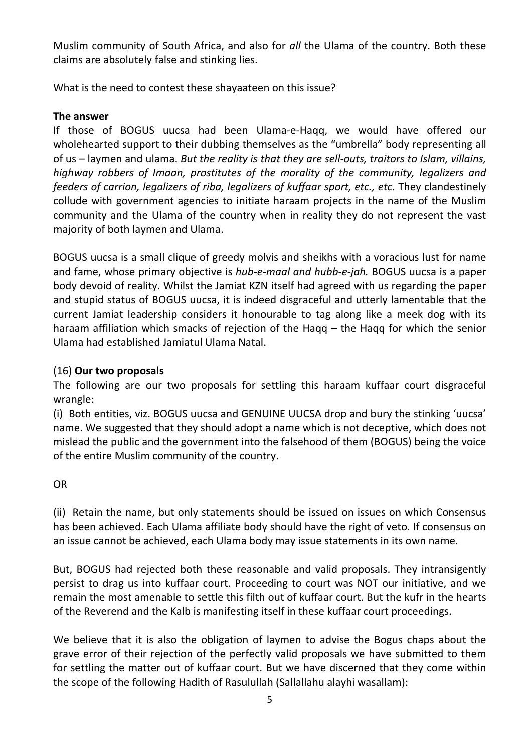Muslim community of South Africa, and also for *all* the Ulama of the country. Both these claims are absolutely false and stinking lies.

What is the need to contest these shayaateen on this issue?

### **The answer**

If those of BOGUS uucsa had been Ulama-e-Haqq, we would have offered our wholehearted support to their dubbing themselves as the "umbrella" body representing all of us – laymen and ulama. *But the reality is that they are sell-outs, traitors to Islam, villains, highway robbers of Imaan, prostitutes of the morality of the community, legalizers and feeders of carrion, legalizers of riba, legalizers of kuffaar sport, etc., etc. They clandestinely* collude with government agencies to initiate haraam projects in the name of the Muslim community and the Ulama of the country when in reality they do not represent the vast majority of both laymen and Ulama.

BOGUS uucsa is a small clique of greedy molvis and sheikhs with a voracious lust for name and fame, whose primary objective is *hub-e-maal and hubb-e-jah.* BOGUS uucsa is a paper body devoid of reality. Whilst the Jamiat KZN itself had agreed with us regarding the paper and stupid status of BOGUS uucsa, it is indeed disgraceful and utterly lamentable that the current Jamiat leadership considers it honourable to tag along like a meek dog with its haraam affiliation which smacks of rejection of the Haqq – the Haqq for which the senior Ulama had established Jamiatul Ulama Natal.

## (16) **Our two proposals**

The following are our two proposals for settling this haraam kuffaar court disgraceful wrangle:

(i) Both entities, viz. BOGUS uucsa and GENUINE UUCSA drop and bury the stinking 'uucsa' name. We suggested that they should adopt a name which is not deceptive, which does not mislead the public and the government into the falsehood of them (BOGUS) being the voice of the entire Muslim community of the country.

#### OR

(ii) Retain the name, but only statements should be issued on issues on which Consensus has been achieved. Each Ulama affiliate body should have the right of veto. If consensus on an issue cannot be achieved, each Ulama body may issue statements in its own name.

But, BOGUS had rejected both these reasonable and valid proposals. They intransigently persist to drag us into kuffaar court. Proceeding to court was NOT our initiative, and we remain the most amenable to settle this filth out of kuffaar court. But the kufr in the hearts of the Reverend and the Kalb is manifesting itself in these kuffaar court proceedings.

We believe that it is also the obligation of laymen to advise the Bogus chaps about the grave error of their rejection of the perfectly valid proposals we have submitted to them for settling the matter out of kuffaar court. But we have discerned that they come within the scope of the following Hadith of Rasulullah (Sallallahu alayhi wasallam):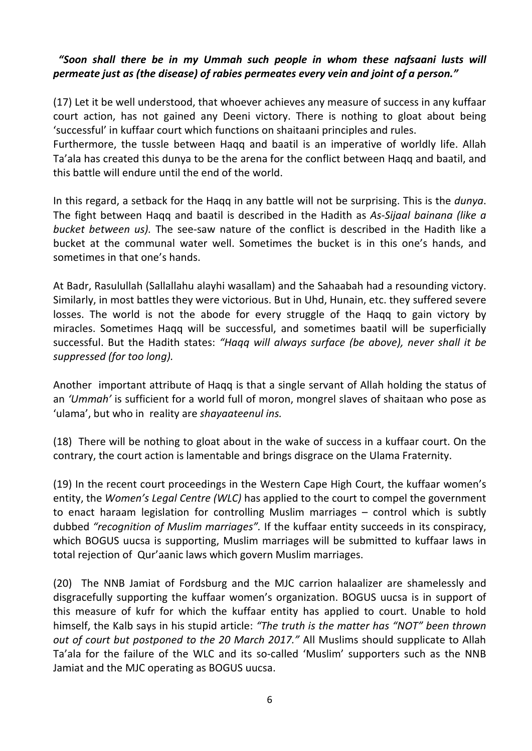## *"Soon shall there be in my Ummah such people in whom these nafsaani lusts will permeate just as (the disease) of rabies permeates every vein and joint of a person."*

(17) Let it be well understood, that whoever achieves any measure of success in any kuffaar court action, has not gained any Deeni victory. There is nothing to gloat about being 'successful' in kuffaar court which functions on shaitaani principles and rules.

Furthermore, the tussle between Haqq and baatil is an imperative of worldly life. Allah Ta'ala has created this dunya to be the arena for the conflict between Haqq and baatil, and this battle will endure until the end of the world.

In this regard, a setback for the Haqq in any battle will not be surprising. This is the *dunya*. The fight between Haqq and baatil is described in the Hadith as *As-Sijaal bainana (like a bucket between us).* The see-saw nature of the conflict is described in the Hadith like a bucket at the communal water well. Sometimes the bucket is in this one's hands, and sometimes in that one's hands.

At Badr, Rasulullah (Sallallahu alayhi wasallam) and the Sahaabah had a resounding victory. Similarly, in most battles they were victorious. But in Uhd, Hunain, etc. they suffered severe losses. The world is not the abode for every struggle of the Haqq to gain victory by miracles. Sometimes Haqq will be successful, and sometimes baatil will be superficially successful. But the Hadith states: *"Haqq will always surface (be above), never shall it be suppressed (for too long).* 

Another important attribute of Haqq is that a single servant of Allah holding the status of an *'Ummah'* is sufficient for a world full of moron, mongrel slaves of shaitaan who pose as 'ulama', but who in reality are *shayaateenul ins.* 

(18) There will be nothing to gloat about in the wake of success in a kuffaar court. On the contrary, the court action is lamentable and brings disgrace on the Ulama Fraternity.

(19) In the recent court proceedings in the Western Cape High Court, the kuffaar women's entity, the *Women's Legal Centre (WLC)* has applied to the court to compel the government to enact haraam legislation for controlling Muslim marriages – control which is subtly dubbed *"recognition of Muslim marriages".* If the kuffaar entity succeeds in its conspiracy, which BOGUS uucsa is supporting, Muslim marriages will be submitted to kuffaar laws in total rejection of Qur'aanic laws which govern Muslim marriages.

(20) The NNB Jamiat of Fordsburg and the MJC carrion halaalizer are shamelessly and disgracefully supporting the kuffaar women's organization. BOGUS uucsa is in support of this measure of kufr for which the kuffaar entity has applied to court. Unable to hold himself, the Kalb says in his stupid article: *"The truth is the matter has "NOT" been thrown out of court but postponed to the 20 March 2017."* All Muslims should supplicate to Allah Ta'ala for the failure of the WLC and its so-called 'Muslim' supporters such as the NNB Jamiat and the MJC operating as BOGUS uucsa.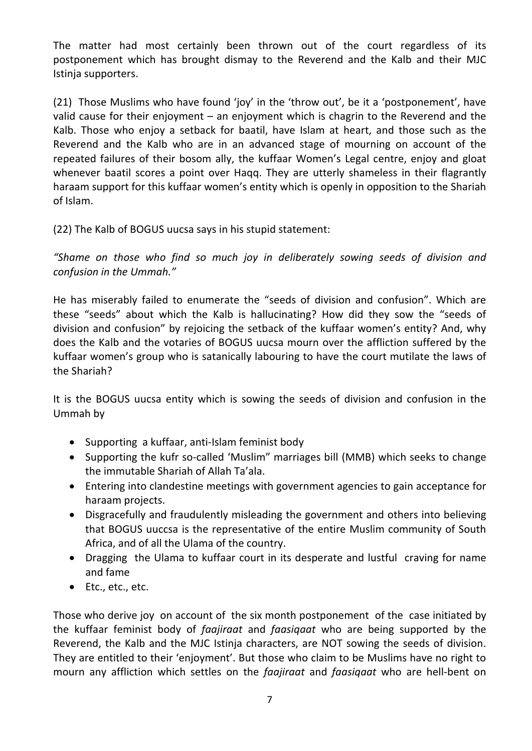The matter had most certainly been thrown out of the court regardless of its postponement which has brought dismay to the Reverend and the Kalb and their MJC Istinja supporters.

(21) Those Muslims who have found 'joy' in the 'throw out', be it a 'postponement', have valid cause for their enjoyment – an enjoyment which is chagrin to the Reverend and the Kalb. Those who enjoy a setback for baatil, have Islam at heart, and those such as the Reverend and the Kalb who are in an advanced stage of mourning on account of the repeated failures of their bosom ally, the kuffaar Women's Legal centre, enjoy and gloat whenever baatil scores a point over Haqq. They are utterly shameless in their flagrantly haraam support for this kuffaar women's entity which is openly in opposition to the Shariah of Islam.

(22) The Kalb of BOGUS uucsa says in his stupid statement:

*"Shame on those who find so much joy in deliberately sowing seeds of division and confusion in the Ummah."* 

He has miserably failed to enumerate the "seeds of division and confusion". Which are these "seeds" about which the Kalb is hallucinating? How did they sow the "seeds of division and confusion" by rejoicing the setback of the kuffaar women's entity? And, why does the Kalb and the votaries of BOGUS uucsa mourn over the affliction suffered by the kuffaar women's group who is satanically labouring to have the court mutilate the laws of the Shariah?

It is the BOGUS uucsa entity which is sowing the seeds of division and confusion in the Ummah by

- Supporting a kuffaar, anti-Islam feminist body
- Supporting the kufr so-called 'Muslim" marriages bill (MMB) which seeks to change the immutable Shariah of Allah Ta'ala.
- Entering into clandestine meetings with government agencies to gain acceptance for haraam projects.
- Disgracefully and fraudulently misleading the government and others into believing that BOGUS uuccsa is the representative of the entire Muslim community of South Africa, and of all the Ulama of the country.
- Dragging the Ulama to kuffaar court in its desperate and lustful craving for name and fame
- Etc., etc., etc.

Those who derive joy on account of the six month postponement of the case initiated by the kuffaar feminist body of *faajiraat* and *faasiqaat* who are being supported by the Reverend, the Kalb and the MJC Istinja characters, are NOT sowing the seeds of division. They are entitled to their 'enjoyment'. But those who claim to be Muslims have no right to mourn any affliction which settles on the *faajiraat* and *faasiqaat* who are hell-bent on